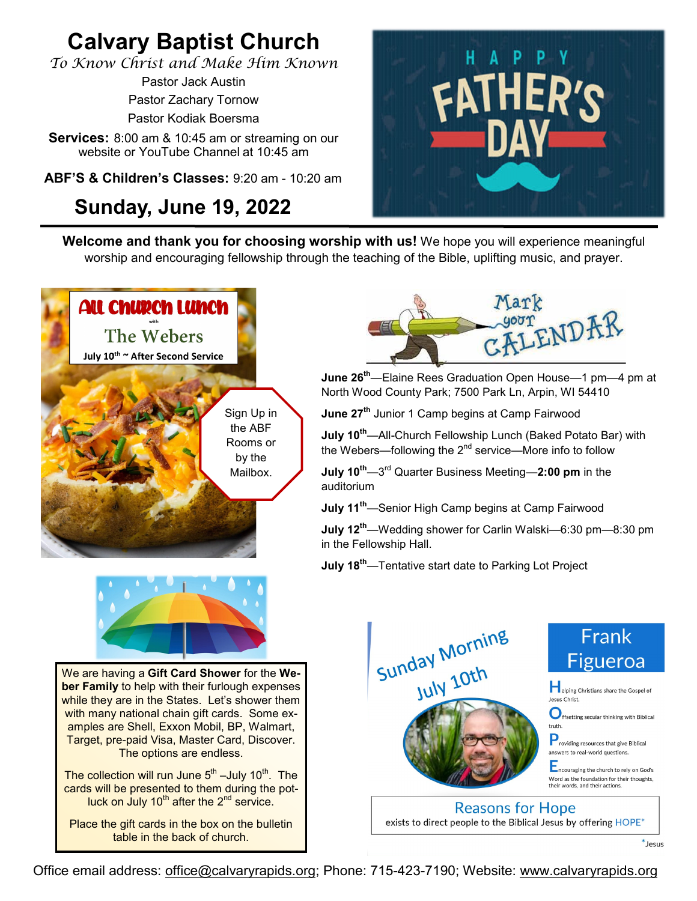# **Calvary Baptist Church**

*To Know Christ and Make Him Known*

Pastor Jack Austin Pastor Zachary Tornow Pastor Kodiak Boersma

**Services:** 8:00 am & 10:45 am or streaming on our website or YouTube Channel at 10:45 am

**ABF'S & Children's Classes:** 9:20 am - 10:20 am

# **Sunday, June 19, 2022**



**Welcome and thank you for choosing worship with us!** We hope you will experience meaningful worship and encouraging fellowship through the teaching of the Bible, uplifting music, and prayer.





We are having a **Gift Card Shower** for the **Weber Family** to help with their furlough expenses while they are in the States. Let's shower them with many national chain gift cards. Some examples are Shell, Exxon Mobil, BP, Walmart, Target, pre-paid Visa, Master Card, Discover. The options are endless.

The collection will run June  $5^{\text{th}}$  –July 10 $^{\text{th}}$ . The cards will be presented to them during the potluck on July  $10^{th}$  after the  $2^{nd}$  service.

Place the gift cards in the box on the bulletin table in the back of church.



**June 26th**—Elaine Rees Graduation Open House—1 pm—4 pm at North Wood County Park; 7500 Park Ln, Arpin, WI 54410

**June 27th** Junior 1 Camp begins at Camp Fairwood

**July 10th**—All-Church Fellowship Lunch (Baked Potato Bar) with the Webers—following the  $2<sup>nd</sup>$  service—More info to follow

**July 10th**—3 rd Quarter Business Meeting—**2:00 pm** in the auditorium

**July 11th**—Senior High Camp begins at Camp Fairwood

**July 12th**—Wedding shower for Carlin Walski—6:30 pm—8:30 pm in the Fellowship Hall.

**July 18th**—Tentative start date to Parking Lot Project



Office email address: [office@calvaryrapids.org;](mailto:office@calvaryrapids.org) Phone: 715-423-7190; Website: [www.calvaryrapids.org](http://www.calvaryrapids.org)